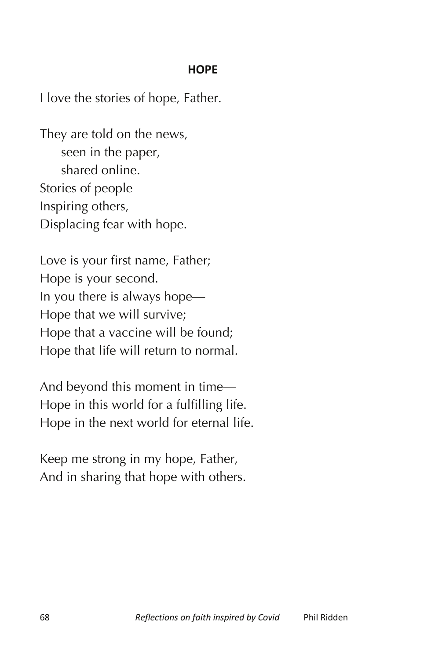## **HOPE**

I love the stories of hope, Father.

They are told on the news, seen in the paper, shared online. Stories of people Inspiring others, Displacing fear with hope.

Love is your first name, Father; Hope is your second. In you there is always hope— Hope that we will survive; Hope that a vaccine will be found; Hope that life will return to normal.

And beyond this moment in time— Hope in this world for a fulfilling life. Hope in the next world for eternal life.

Keep me strong in my hope, Father, And in sharing that hope with others.